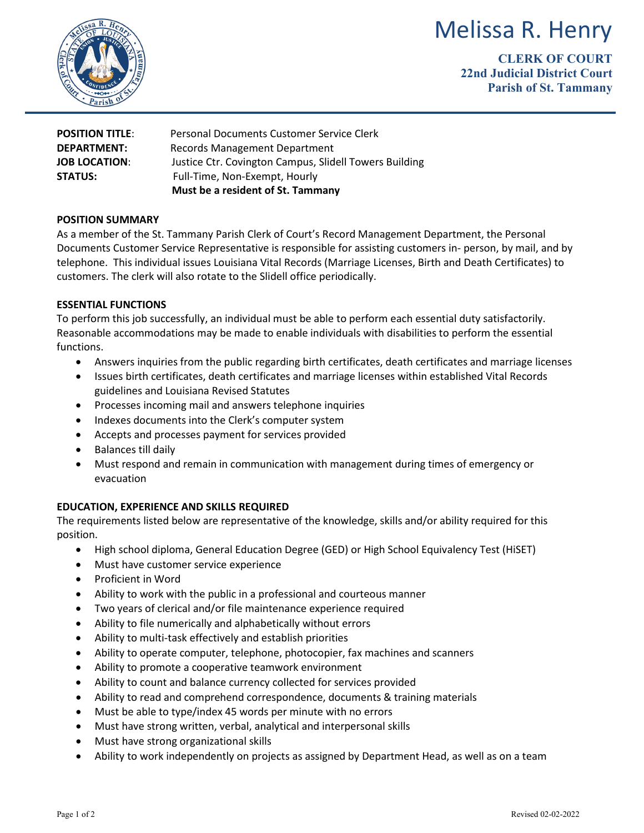# Melissa R. Henry



**CLERK OF COURT 22nd Judicial District Court Parish of St. Tammany**

| <b>POSITION TITLE:</b> | Personal Documents Customer Service Clerk              |
|------------------------|--------------------------------------------------------|
| <b>DEPARTMENT:</b>     | Records Management Department                          |
| <b>JOB LOCATION:</b>   | Justice Ctr. Covington Campus, Slidell Towers Building |
| <b>STATUS:</b>         | Full-Time, Non-Exempt, Hourly                          |
|                        | Must be a resident of St. Tammany                      |

# **POSITION SUMMARY**

As a member of the St. Tammany Parish Clerk of Court's Record Management Department, the Personal Documents Customer Service Representative is responsible for assisting customers in- person, by mail, and by telephone. This individual issues Louisiana Vital Records (Marriage Licenses, Birth and Death Certificates) to customers. The clerk will also rotate to the Slidell office periodically.

## **ESSENTIAL FUNCTIONS**

To perform this job successfully, an individual must be able to perform each essential duty satisfactorily. Reasonable accommodations may be made to enable individuals with disabilities to perform the essential functions.

- Answers inquiries from the public regarding birth certificates, death certificates and marriage licenses
- Issues birth certificates, death certificates and marriage licenses within established Vital Records guidelines and Louisiana Revised Statutes
- Processes incoming mail and answers telephone inquiries
- Indexes documents into the Clerk's computer system
- Accepts and processes payment for services provided
- Balances till daily
- Must respond and remain in communication with management during times of emergency or evacuation

# **EDUCATION, EXPERIENCE AND SKILLS REQUIRED**

The requirements listed below are representative of the knowledge, skills and/or ability required for this position.

- High school diploma, General Education Degree (GED) or High School Equivalency Test (HiSET)
- Must have customer service experience
- Proficient in Word
- Ability to work with the public in a professional and courteous manner
- Two years of clerical and/or file maintenance experience required
- Ability to file numerically and alphabetically without errors
- Ability to multi-task effectively and establish priorities
- Ability to operate computer, telephone, photocopier, fax machines and scanners
- Ability to promote a cooperative teamwork environment
- Ability to count and balance currency collected for services provided
- Ability to read and comprehend correspondence, documents & training materials
- Must be able to type/index 45 words per minute with no errors
- Must have strong written, verbal, analytical and interpersonal skills
- Must have strong organizational skills
- Ability to work independently on projects as assigned by Department Head, as well as on a team